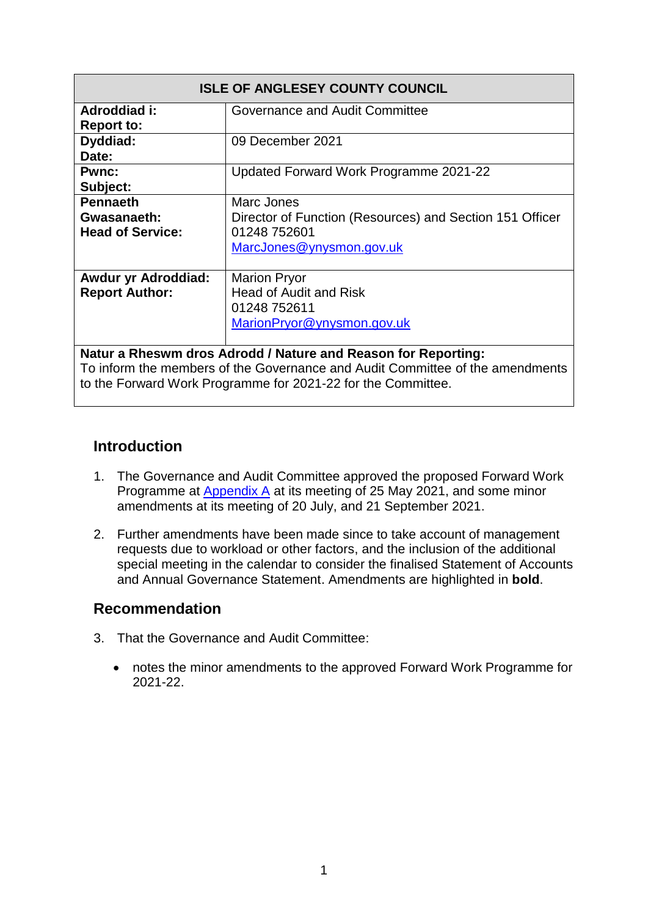| <b>ISLE OF ANGLESEY COUNTY COUNCIL</b>                        |                                                                                                                    |  |  |  |  |  |
|---------------------------------------------------------------|--------------------------------------------------------------------------------------------------------------------|--|--|--|--|--|
| Adroddiad i:<br><b>Report to:</b>                             | Governance and Audit Committee                                                                                     |  |  |  |  |  |
| Dyddiad:<br>Date:                                             | 09 December 2021                                                                                                   |  |  |  |  |  |
| <b>Pwnc:</b><br>Subject:                                      | Updated Forward Work Programme 2021-22                                                                             |  |  |  |  |  |
| <b>Pennaeth</b><br>Gwasanaeth:<br><b>Head of Service:</b>     | Marc Jones<br>Director of Function (Resources) and Section 151 Officer<br>01248 752601<br>MarcJones@ynysmon.gov.uk |  |  |  |  |  |
| <b>Awdur yr Adroddiad:</b><br><b>Report Author:</b>           | <b>Marion Pryor</b><br><b>Head of Audit and Risk</b><br>01248 752611<br>MarionPryor@ynysmon.gov.uk                 |  |  |  |  |  |
| Natur a Rheswm dros Adrodd / Nature and Reason for Reporting: |                                                                                                                    |  |  |  |  |  |

To inform the members of the Governance and Audit Committee of the amendments to the Forward Work Programme for 2021-22 for the Committee.

### **Introduction**

- 1. The Governance and Audit Committee approved the proposed Forward Work Programme at Appendix A at its meeting of 25 May 2021, and some minor amendments at its meeting of 20 July, and 21 September 2021.
- 2. Further amendments have been made since to take account of management requests due to workload or other factors, and the inclusion of the additional special meeting in the calendar to consider the finalised Statement of Accounts and Annual Governance Statement. Amendments are highlighted in **bold**.

### **Recommendation**

- 3. That the Governance and Audit Committee:
	- notes the minor amendments to the approved Forward Work Programme for 2021-22.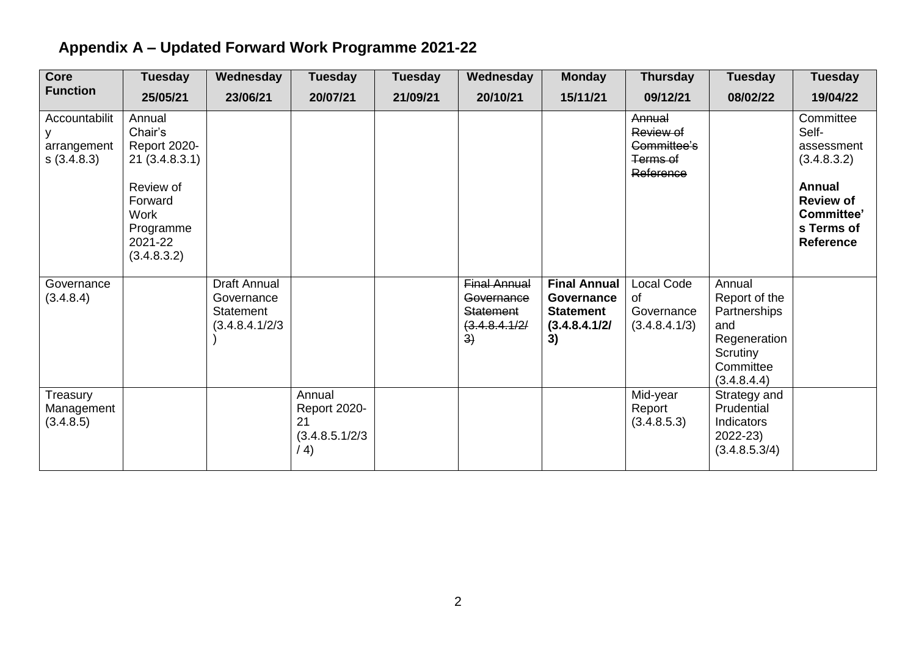| Core                                       | <b>Tuesday</b>                                                                                                                          | Wednesday                                                                | <b>Tuesday</b>                                                 | <b>Tuesday</b> | Wednesday                                                             | <b>Monday</b>                                                                       | <b>Thursday</b>                                             | <b>Tuesday</b>                                                                                         | <b>Tuesday</b>                                                                                                                       |
|--------------------------------------------|-----------------------------------------------------------------------------------------------------------------------------------------|--------------------------------------------------------------------------|----------------------------------------------------------------|----------------|-----------------------------------------------------------------------|-------------------------------------------------------------------------------------|-------------------------------------------------------------|--------------------------------------------------------------------------------------------------------|--------------------------------------------------------------------------------------------------------------------------------------|
| <b>Function</b>                            | 25/05/21                                                                                                                                | 23/06/21                                                                 | 20/07/21                                                       | 21/09/21       | 20/10/21                                                              | 15/11/21                                                                            | 09/12/21                                                    | 08/02/22                                                                                               | 19/04/22                                                                                                                             |
| Accountabilit<br>arrangement<br>S(3.4.8.3) | Annual<br>Chair's<br><b>Report 2020-</b><br>21(3.4.8.3.1)<br>Review of<br>Forward<br><b>Work</b><br>Programme<br>2021-22<br>(3.4.8.3.2) |                                                                          |                                                                |                |                                                                       |                                                                                     | Annual<br>Review of<br>Committee's<br>Terms of<br>Reference |                                                                                                        | Committee<br>Self-<br>assessment<br>(3.4.8.3.2)<br><b>Annual</b><br><b>Review of</b><br>Committee'<br>s Terms of<br><b>Reference</b> |
| Governance<br>(3.4.8.4)                    |                                                                                                                                         | <b>Draft Annual</b><br>Governance<br><b>Statement</b><br>(3.4.8.4.1/2/3) |                                                                |                | <b>Final Annual</b><br>Governance<br>Statement<br>(3.4.8.4.1/2)<br>3) | <b>Final Annual</b><br><b>Governance</b><br><b>Statement</b><br>(3.4.8.4.1/2)<br>3) | Local Code<br>οf<br>Governance<br>(3.4.8.4.1/3)             | Annual<br>Report of the<br>Partnerships<br>and<br>Regeneration<br>Scrutiny<br>Committee<br>(3.4.8.4.4) |                                                                                                                                      |
| Treasury<br>Management<br>(3.4.8.5)        |                                                                                                                                         |                                                                          | Annual<br><b>Report 2020-</b><br>21<br>(3.4.8.5.1/2/3)<br>/ 4) |                |                                                                       |                                                                                     | Mid-year<br>Report<br>(3.4.8.5.3)                           | Strategy and<br>Prudential<br>Indicators<br>2022-23)<br>(3.4.8.5.3/4)                                  |                                                                                                                                      |

# **Appendix A – Updated Forward Work Programme 2021-22**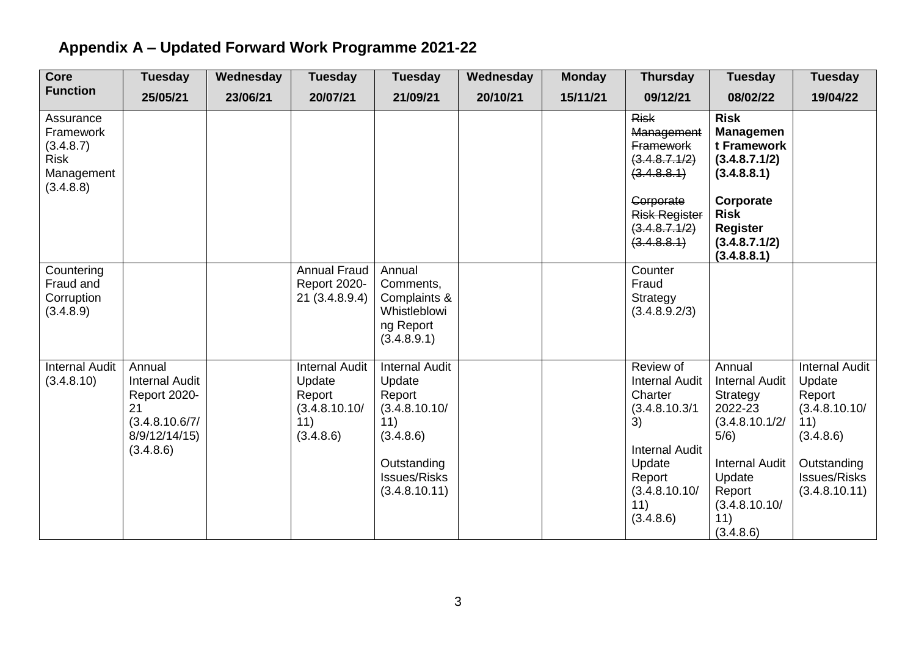# **Appendix A – Updated Forward Work Programme 2021-22**

| <b>Core</b>                                                                   | <b>Tuesday</b>                                                                                               | Wednesday | <b>Tuesday</b>                                                                 | <b>Tuesday</b>                                                                                                                        | Wednesday | <b>Monday</b> | <b>Thursday</b>                                                                                                                                         | <b>Tuesday</b>                                                                                                                                                     | <b>Tuesday</b>                                                                                                                        |
|-------------------------------------------------------------------------------|--------------------------------------------------------------------------------------------------------------|-----------|--------------------------------------------------------------------------------|---------------------------------------------------------------------------------------------------------------------------------------|-----------|---------------|---------------------------------------------------------------------------------------------------------------------------------------------------------|--------------------------------------------------------------------------------------------------------------------------------------------------------------------|---------------------------------------------------------------------------------------------------------------------------------------|
| <b>Function</b>                                                               | 25/05/21                                                                                                     | 23/06/21  | 20/07/21                                                                       | 21/09/21                                                                                                                              | 20/10/21  | 15/11/21      | 09/12/21                                                                                                                                                | 08/02/22                                                                                                                                                           | 19/04/22                                                                                                                              |
| Assurance<br>Framework<br>(3.4.8.7)<br><b>Risk</b><br>Management<br>(3.4.8.8) |                                                                                                              |           |                                                                                |                                                                                                                                       |           |               | <b>Risk</b><br>Management<br><b>Framework</b><br>(3.4.8.7.1/2)<br>(3.4.8.8.1)<br>Corporate<br><b>Risk Register</b><br>(3.4.8.7.1/2)<br>(3.4.8.8.1)      | <b>Risk</b><br><b>Managemen</b><br>t Framework<br>(3.4.8.7.1/2)<br>(3.4.8.8.1)<br>Corporate<br><b>Risk</b><br><b>Register</b><br>(3.4.8.7.1/2)<br>(3.4.8.8.1)      |                                                                                                                                       |
| Countering<br>Fraud and<br>Corruption<br>(3.4.8.9)                            |                                                                                                              |           | <b>Annual Fraud</b><br><b>Report 2020-</b><br>21(3.4.8.9.4)                    | Annual<br>Comments,<br>Complaints &<br>Whistleblowi<br>ng Report<br>(3.4.8.9.1)                                                       |           |               | Counter<br>Fraud<br>Strategy<br>(3.4.8.9.2/3)                                                                                                           |                                                                                                                                                                    |                                                                                                                                       |
| <b>Internal Audit</b><br>(3.4.8.10)                                           | Annual<br><b>Internal Audit</b><br><b>Report 2020-</b><br>21<br>(3.4.8.10.6/7/<br>8/9/12/14/15)<br>(3.4.8.6) |           | <b>Internal Audit</b><br>Update<br>Report<br>(3.4.8.10.10/<br>11)<br>(3.4.8.6) | <b>Internal Audit</b><br>Update<br>Report<br>(3.4.8.10.10/<br>11)<br>(3.4.8.6)<br>Outstanding<br><b>Issues/Risks</b><br>(3.4.8.10.11) |           |               | Review of<br><b>Internal Audit</b><br>Charter<br>(3.4.8.10.3/1)<br>3)<br><b>Internal Audit</b><br>Update<br>Report<br>(3.4.8.10.10/<br>11)<br>(3.4.8.6) | Annual<br><b>Internal Audit</b><br>Strategy<br>2022-23<br>(3.4.8.10.1/2)<br>5/6)<br><b>Internal Audit</b><br>Update<br>Report<br>(3.4.8.10.10/<br>11)<br>(3.4.8.6) | <b>Internal Audit</b><br>Update<br>Report<br>(3.4.8.10.10/<br>11)<br>(3.4.8.6)<br>Outstanding<br><b>Issues/Risks</b><br>(3.4.8.10.11) |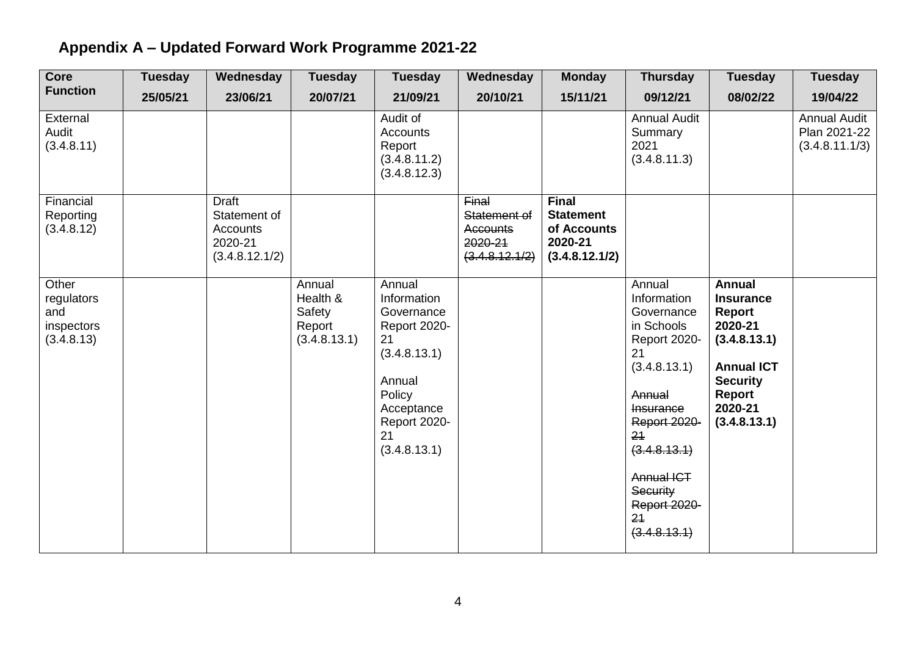# **Appendix A – Updated Forward Work Programme 2021-22**

| <b>Core</b>                                            | <b>Tuesday</b> | Wednesday                                                             | <b>Tuesday</b>                                         | <b>Tuesday</b>                                                                                                                                    | Wednesday                                                             | <b>Monday</b>                                                                | <b>Thursday</b>                                                                                                                                                                                                                           | <b>Tuesday</b>                                                                                                                                      | <b>Tuesday</b>                                        |
|--------------------------------------------------------|----------------|-----------------------------------------------------------------------|--------------------------------------------------------|---------------------------------------------------------------------------------------------------------------------------------------------------|-----------------------------------------------------------------------|------------------------------------------------------------------------------|-------------------------------------------------------------------------------------------------------------------------------------------------------------------------------------------------------------------------------------------|-----------------------------------------------------------------------------------------------------------------------------------------------------|-------------------------------------------------------|
| <b>Function</b>                                        | 25/05/21       | 23/06/21                                                              | 20/07/21                                               | 21/09/21                                                                                                                                          | 20/10/21                                                              | 15/11/21                                                                     | 09/12/21                                                                                                                                                                                                                                  | 08/02/22                                                                                                                                            | 19/04/22                                              |
| External<br>Audit<br>(3.4.8.11)                        |                |                                                                       |                                                        | Audit of<br><b>Accounts</b><br>Report<br>(3.4.8.11.2)<br>(3.4.8.12.3)                                                                             |                                                                       |                                                                              | <b>Annual Audit</b><br>Summary<br>2021<br>(3.4.8.11.3)                                                                                                                                                                                    |                                                                                                                                                     | <b>Annual Audit</b><br>Plan 2021-22<br>(3.4.8.11.1/3) |
| Financial<br>Reporting<br>(3.4.8.12)                   |                | <b>Draft</b><br>Statement of<br>Accounts<br>2020-21<br>(3.4.8.12.1/2) |                                                        |                                                                                                                                                   | Final<br>Statement of<br><b>Accounts</b><br>2020-21<br>(3.4.8.12.1/2) | <b>Final</b><br><b>Statement</b><br>of Accounts<br>2020-21<br>(3.4.8.12.1/2) |                                                                                                                                                                                                                                           |                                                                                                                                                     |                                                       |
| Other<br>regulators<br>and<br>inspectors<br>(3.4.8.13) |                |                                                                       | Annual<br>Health &<br>Safety<br>Report<br>(3.4.8.13.1) | Annual<br>Information<br>Governance<br>Report 2020-<br>21<br>(3.4.8.13.1)<br>Annual<br>Policy<br>Acceptance<br>Report 2020-<br>21<br>(3.4.8.13.1) |                                                                       |                                                                              | Annual<br>Information<br>Governance<br>in Schools<br><b>Report 2020-</b><br>21<br>(3.4.8.13.1)<br>Annual<br><b>Insurance</b><br>Report 2020-<br>21<br>(3.4.8.13.1)<br><b>Annual ICT</b><br>Security<br>Report 2020-<br>21<br>(3.4.8.13.1) | <b>Annual</b><br><b>Insurance</b><br>Report<br>2020-21<br>(3.4.8.13.1)<br><b>Annual ICT</b><br><b>Security</b><br>Report<br>2020-21<br>(3.4.8.13.1) |                                                       |